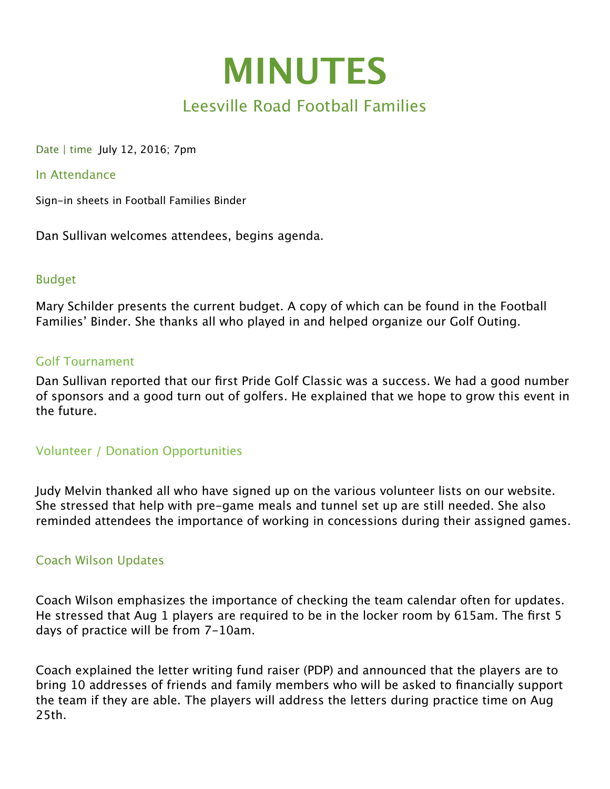

Date | time July 12, 2016; 7pm

#### In Attendance

Sign-in sheets in Football Families Binder

Dan Sullivan welcomes attendees, begins agenda.

### Budget

Mary Schilder presents the current budget. A copy of which can be found in the Football Families' Binder. She thanks all who played in and helped organize our Golf Outing.

### Golf Tournament

Dan Sullivan reported that our first Pride Golf Classic was a success. We had a good number of sponsors and a good turn out of golfers. He explained that we hope to grow this event in the future.

## Volunteer / Donation Opportunities

Judy Melvin thanked all who have signed up on the various volunteer lists on our website. She stressed that help with pre-game meals and tunnel set up are still needed. She also reminded attendees the importance of working in concessions during their assigned games.

### Coach Wilson Updates

Coach Wilson emphasizes the importance of checking the team calendar often for updates. He stressed that Aug 1 players are required to be in the locker room by 615am. The first 5 days of practice will be from 7-10am.

Coach explained the letter writing fund raiser (PDP) and announced that the players are to bring 10 addresses of friends and family members who will be asked to financially support the team if they are able. The players will address the letters during practice time on Aug 25th.